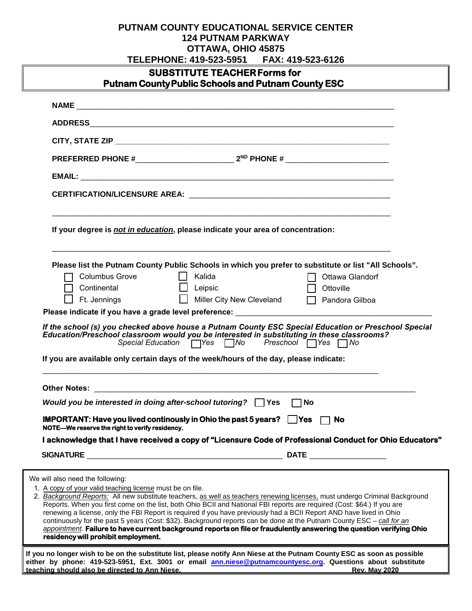## **PUTNAM COUNTY EDUCATIONAL SERVICE CENTER 124 PUTNAM PARKWAY OTTAWA, OHIO 45875**

| TELEPHONE: 419-523-5951<br>FAX: 419-523-6126                                                                                                                                                                                                           |  |
|--------------------------------------------------------------------------------------------------------------------------------------------------------------------------------------------------------------------------------------------------------|--|
| <b>SUBSTITUTE TEACHER Forms for</b>                                                                                                                                                                                                                    |  |
| <b>Putnam County Public Schools and Putnam County ESC</b>                                                                                                                                                                                              |  |
|                                                                                                                                                                                                                                                        |  |
|                                                                                                                                                                                                                                                        |  |
|                                                                                                                                                                                                                                                        |  |
|                                                                                                                                                                                                                                                        |  |
|                                                                                                                                                                                                                                                        |  |
|                                                                                                                                                                                                                                                        |  |
|                                                                                                                                                                                                                                                        |  |
| If your degree is not in education, please indicate your area of concentration:                                                                                                                                                                        |  |
|                                                                                                                                                                                                                                                        |  |
|                                                                                                                                                                                                                                                        |  |
| Please list the Putnam County Public Schools in which you prefer to substitute or list "All Schools".<br><b>Columbus Grove</b><br>    Kalida<br>Ottawa Glandorf                                                                                        |  |
| Continental<br>□ Leipsic<br>Ottoville                                                                                                                                                                                                                  |  |
| Ft. Jennings<br>□ Miller City New Cleveland<br>$\Box$ Pandora Gilboa                                                                                                                                                                                   |  |
|                                                                                                                                                                                                                                                        |  |
| If the school (s) you checked above house a Putnam County ESC Special Education or Preschool Special<br>Education/Preschool classroom would you be interested in substituting in these classrooms?                                                     |  |
| If you are available only certain days of the week/hours of the day, please indicate:                                                                                                                                                                  |  |
|                                                                                                                                                                                                                                                        |  |
|                                                                                                                                                                                                                                                        |  |
| Would you be interested in doing after-school tutoring? $\Box$ Yes $\Box$ No                                                                                                                                                                           |  |
| <b>IMPORTANT:</b> Have you lived continously in Ohio the past 5 years? $\Box$ Yes $\Box$ No<br>NOTE-We reserve the right to verify residency.                                                                                                          |  |
| I acknowledge that I have received a copy of "Licensure Code of Professional Conduct for Ohio Educators"                                                                                                                                               |  |
|                                                                                                                                                                                                                                                        |  |
| We will also need the following:                                                                                                                                                                                                                       |  |
| 1. A copy of your valid teaching license must be on file.                                                                                                                                                                                              |  |
| 2. Background Reports: All new substitute teachers, as well as teachers renewing licenses, must undergo Criminal Background<br>Reports. When you first come on the list, both Ohio BCII and National FBI reports are required (Cost: \$64.) If you are |  |
| renewing a license, only the FBI Report is required if you have previously had a BCII Report AND have lived in Ohio                                                                                                                                    |  |
| continuously for the past 5 years (Cost: \$32). Background reports can be done at the Putnam County ESC - call for an<br>appointment. Failure to have current background reports on file or fraudulently answering the question verifying Ohio         |  |
| residency will prohibit employment.                                                                                                                                                                                                                    |  |
| If you no longer wish to be on the substitute list, please notify Ann Niese at the Putnam County ESC as soon as possible                                                                                                                               |  |

**either by phone: 419-523-5951, Ext. 3001 or emai[l ann.niese@putnamcountyesc.org.](mailto:ann.niese@putnamcountyesc.org) Questions about substitute teaching should also be directed to Ann Niese. Rev. May 2020**